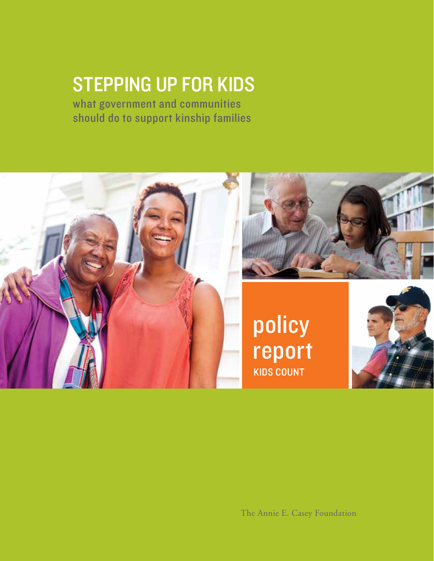# STEPPING UP FOR KIDS

what government and communities should do to support kinship families



The Annie E. Casey Foundation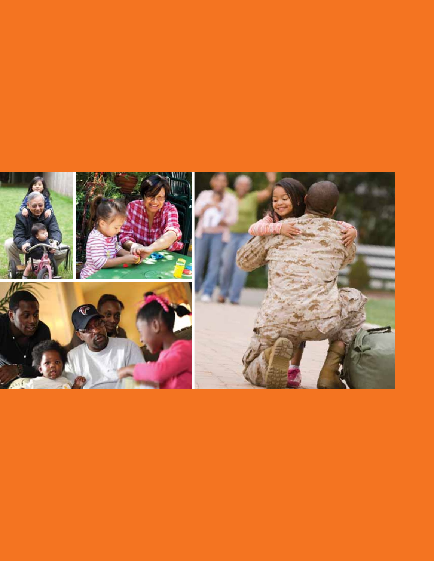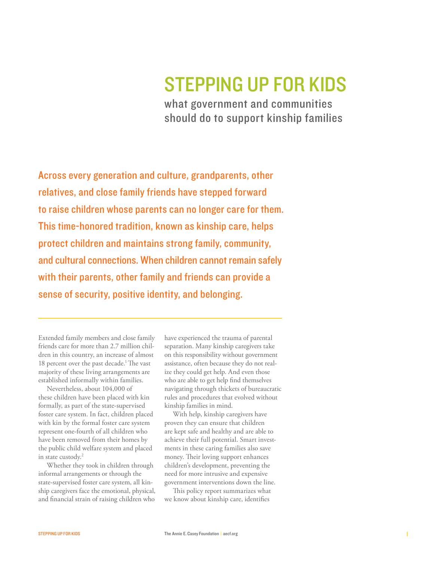# Stepping Up for Kids

what government and communities should do to support kinship families

Across every generation and culture, grandparents, other relatives, and close family friends have stepped forward to raise children whose parents can no longer care for them. This time-honored tradition, known as kinship care, helps protect children and maintains strong family, community, and cultural connections. When children cannot remain safely with their parents, other family and friends can provide a sense of security, positive identity, and belonging.

Extended family members and close family friends care for more than 2.7 million children in this country, an increase of almost 18 percent over the past decade.<sup>1</sup> The vast majority of these living arrangements are established informally within families.

Nevertheless, about 104,000 of these children have been placed with kin formally, as part of the state-supervised foster care system. In fact, children placed with kin by the formal foster care system represent one-fourth of all children who have been removed from their homes by the public child welfare system and placed in state custody.2

Whether they took in children through informal arrangements or through the state-supervised foster care system, all kinship caregivers face the emotional, physical, and financial strain of raising children who

have experienced the trauma of parental separation. Many kinship caregivers take on this responsibility without government assistance, often because they do not realize they could get help. And even those who are able to get help find themselves navigating through thickets of bureaucratic rules and procedures that evolved without kinship families in mind.

With help, kinship caregivers have proven they can ensure that children are kept safe and healthy and are able to achieve their full potential. Smart investments in these caring families also save money. Their loving support enhances children's development, preventing the need for more intrusive and expensive government interventions down the line.

This policy report summarizes what we know about kinship care, identifies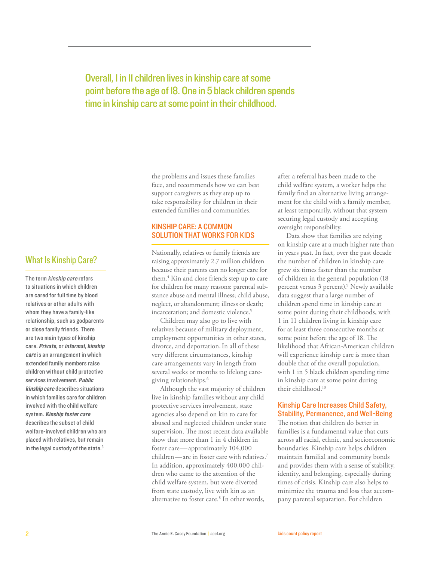Overall, 1 in 11 children lives in kinship care at some point before the age of 18. One in 5 black children spends time in kinship care at some point in their childhood.

> the problems and issues these families face, and recommends how we can best support caregivers as they step up to take responsibility for children in their extended families and communities.

#### KINSHIP CARE: A COMMON SOLUTION THAT WORKS FOR KIDS

Nationally, relatives or family friends are raising approximately 2.7 million children because their parents can no longer care for them.4 Kin and close friends step up to care for children for many reasons: parental substance abuse and mental illness; child abuse, neglect, or abandonment; illness or death; incarceration; and domestic violence.<sup>5</sup>

Children may also go to live with relatives because of military deployment, employment opportunities in other states, divorce, and deportation.In all of these very different circumstances, kinship care arrangements vary in length from several weeks or months to lifelong caregiving relationships.<sup>6</sup>

Although the vast majority of children live in kinship families without any child protective services involvement, state agencies also depend on kin to care for abused and neglected children under state supervision. The most recent data available show that more than 1 in 4 children in foster care—approximately 104,000 children—are in foster care with relatives.7 In addition, approximately 400,000 children who came to the attention of the child welfare system, but were diverted from state custody, live with kin as an alternative to foster care.<sup>8</sup> In other words,

after a referral has been made to the child welfare system, a worker helps the family find an alternative living arrangement for the child with a family member, at least temporarily, without that system securing legal custody and accepting oversight responsibility.

Data show that families are relying on kinship care at a much higher rate than in years past. In fact, over the past decade the number of children in kinship care grew six times faster than the number of children in the general population (18 percent versus 3 percent).<sup>9</sup> Newly available data suggest that a large number of children spend time in kinship care at some point during their childhoods, with 1 in 11 children living in kinship care for at least three consecutive months at some point before the age of 18. The likelihood that African-American children will experience kinship care is more than double that of the overall population, with 1 in 5 black children spending time in kinship care at some point during their childhood.<sup>10</sup>

#### Kinship Care Increases Child Safety, Stability, Permanence, and Well-Being

The notion that children do better in families is a fundamental value that cuts across all racial, ethnic, and socioeconomic boundaries. Kinship care helps children maintain familial and community bonds and provides them with a sense of stability, identity, and belonging, especially during times of crisis. Kinship care also helps to minimize the trauma and loss that accompany parental separation. For children

# What Is Kinship Care?

The term kinship care refers to situations in which children are cared for full time by blood relatives or other adults with whom they have a family-like relationship, such as godparents or close family friends. There are two main types of kinship care. Private, or informal, kinship care is an arrangement in which extended family members raise children without child protective services involvement. Public kinship care describes situations in which families care for children involved with the child welfare system. Kinship foster care describes the subset of child welfare-involved children who are placed with relatives, but remain in the legal custody of the state.3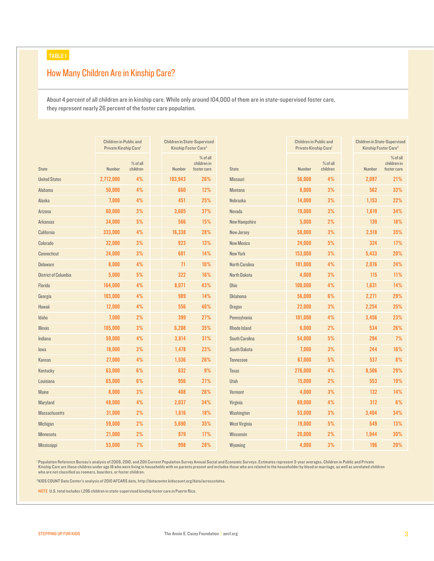TABLE 1

# How Many Children Are in Kinship Care?

About 4 percent of all children are in kinship care. While only around 104,000 of them are in state-supervised foster care, they represent nearly 26 percent of the foster care population.

|                             | <b>Children in Public and</b><br>Private Kinship Care <sup>1</sup> |                      | Kinship Foster Care <sup>2</sup> | <b>Children in State-Supervised</b>    |                       | <b>Children in Public and</b><br>Private Kinship Care <sup>1</sup> |                        | <b>Children in State-Supervised</b><br>Kinship Foster Care <sup>2</sup> |                                        |
|-----------------------------|--------------------------------------------------------------------|----------------------|----------------------------------|----------------------------------------|-----------------------|--------------------------------------------------------------------|------------------------|-------------------------------------------------------------------------|----------------------------------------|
| <b>State</b>                | <b>Number</b>                                                      | % of all<br>children | Number                           | % of all<br>children in<br>foster care | <b>State</b>          | <b>Number</b>                                                      | $%$ of all<br>children | <b>Number</b>                                                           | % of all<br>children in<br>foster care |
| <b>United States</b>        | 2,712,000                                                          | 4%                   | 103,943                          | 26%                                    | <b>Missouri</b>       | 56,000                                                             | 4%                     | 2,087                                                                   | 21%                                    |
| Alabama                     | 50,000                                                             | 4%                   | 660                              | 12%                                    | <b>Montana</b>        | 8,000                                                              | 3%                     | 562                                                                     | 33%                                    |
| Alaska                      | 7,000                                                              | 4%                   | 451                              | 25%                                    | Nebraska              | 14,000                                                             | 3%                     | 1,153                                                                   | 22%                                    |
| Arizona                     | 60.000                                                             | 3%                   | 3.605                            | 37%                                    | <b>Nevada</b>         | 19.000                                                             | 3%                     | 1.619                                                                   | 34%                                    |
| <b>Arkansas</b>             | 34,000                                                             | 5%                   | 566                              | 15%                                    | <b>New Hampshire</b>  | 5.000                                                              | 2%                     | 139                                                                     | 18%                                    |
| California                  | 333,000                                                            | 4%                   | 16,338                           | 28%                                    | <b>New Jersey</b>     | 58,000                                                             | 3%                     | 2,518                                                                   | 35%                                    |
| Colorado                    | 32,000                                                             | 3%                   | 923                              | 13%                                    | <b>New Mexico</b>     | 24,000                                                             | 5%                     | 324                                                                     | 17%                                    |
| <b>Connecticut</b>          | 24,000                                                             | 3%                   | 601                              | 14%                                    | <b>New York</b>       | 153,000                                                            | 3%                     | 5,433                                                                   | 20%                                    |
| <b>Delaware</b>             | 8,000                                                              | 4%                   | 71                               | 10%                                    | <b>North Carolina</b> | 101,000                                                            | 4%                     | 2,076                                                                   | 24%                                    |
| <b>District of Columbia</b> | 5,000                                                              | 5%                   | 322                              | 16%                                    | <b>North Dakota</b>   | 4,000                                                              | 3%                     | 115                                                                     | 11%                                    |
| Florida                     | 164,000                                                            | 4%                   | 8,071                            | 43%                                    | Ohio                  | 100,000                                                            | 4%                     | 1,631                                                                   | 14%                                    |
| Georgia                     | 103.000                                                            | 4%                   | 989                              | 14%                                    | <b>Oklahoma</b>       | 56,000                                                             | 6%                     | 2,271                                                                   | 29%                                    |
| Hawaii                      | 12,000                                                             | 4%                   | 556                              | 46%                                    | Oregon                | 22,000                                                             | 3%                     | 2,254                                                                   | 25%                                    |
| Idaho                       | 7.000                                                              | 2%                   | 399                              | 27%                                    | Pennsylvania          | 101,000                                                            | 4%                     | 3,456                                                                   | 23%                                    |
| <b>Illinois</b>             | 105,000                                                            | 3%                   | 6,208                            | 35%                                    | <b>Rhode Island</b>   | 6,000                                                              | 2%                     | 534                                                                     | 26%                                    |
| Indiana                     | 59,000                                                             | 4%                   | 3,814                            | 31%                                    | <b>South Carolina</b> | 54,000                                                             | 5%                     | 294                                                                     | 7%                                     |
| lowa                        | 18,000                                                             | 3%                   | 1,478                            | 23%                                    | <b>South Dakota</b>   | 7,000                                                              | 3%                     | 244                                                                     | 16%                                    |
| Kansas                      | 27,000                                                             | 4%                   | 1,536                            | 26%                                    | <b>Tennessee</b>      | 67,000                                                             | 5%                     | 537                                                                     | 8%                                     |
| Kentucky                    | 63,000                                                             | 6%                   | 632                              | 9%                                     | <b>Texas</b>          | 276,000                                                            | 4%                     | 8,506                                                                   | 29%                                    |
| Louisiana                   | 65,000                                                             | 6%                   | 956                              | 21%                                    | <b>Utah</b>           | 15.000                                                             | 2%                     | 553                                                                     | 19%                                    |
| <b>Maine</b>                | 8,000                                                              | 3%                   | 408                              | 26%                                    | <b>Vermont</b>        | 4,000                                                              | 3%                     | 132                                                                     | 14%                                    |
| Maryland                    | 48,000                                                             | 4%                   | 2,037                            | 34%                                    | Virginia              | 69,000                                                             | 4%                     | 312                                                                     | 6%                                     |
| <b>Massachusetts</b>        | 31,000                                                             | 2%                   | 1,616                            | 18%                                    | Washington            | 53,000                                                             | 3%                     | 3,404                                                                   | 34%                                    |
| <b>Michigan</b>             | 59,000                                                             | 2%                   | 5,690                            | 35%                                    | <b>West Virginia</b>  | 19,000                                                             | 5%                     | 549                                                                     | 13%                                    |
| <b>Minnesota</b>            | 21,000                                                             | 2%                   | 879                              | 17%                                    | Wisconsin             | 20,000                                                             | 2%                     | 1,944                                                                   | 30%                                    |
| <b>Mississippi</b>          | 53,000                                                             | 7%                   | 998                              | 28%                                    | Wyoming               | 4,000                                                              | 3%                     | 196                                                                     | 20%                                    |

' Population Reference Bureau's analysis of 2009, 2010, and 2011 Current Population Survey Annual Social and Economic Surveys. Estimates represent 3-year averages. Children in Public and Private<br>Kinship Care are those chil

2 KIDS COUNT Data Center's analysis of 2010 AFCARS data, http://datacenter.kidscount.org/data/acrossstates.

note U.S. total includes 1,296 children in state-supervised kinship foster care in Puerto Rico.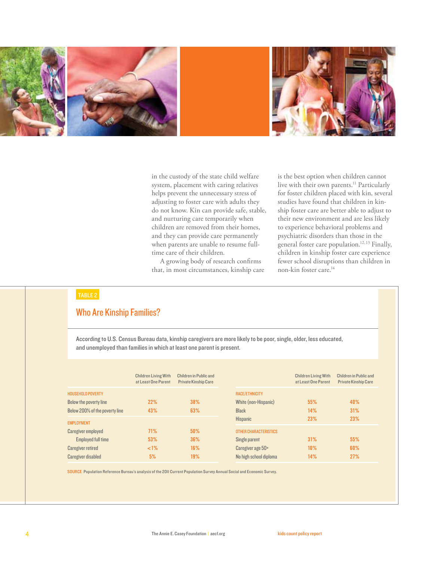



in the custody of the state child welfare system, placement with caring relatives helps prevent the unnecessary stress of adjusting to foster care with adults they do not know. Kin can provide safe, stable, and nurturing care temporarily when children are removed from their homes, and they can provide care permanently when parents are unable to resume fulltime care of their children.

A growing body of research confirms that, in most circumstances, kinship care is the best option when children cannot live with their own parents.<sup>11</sup> Particularly for foster children placed with kin, several studies have found that children in kinship foster care are better able to adjust to their new environment and are less likely to experience behavioral problems and psychiatric disorders than those in the general foster care population.12,13 Finally, children in kinship foster care experience fewer school disruptions than children in non-kin foster care.14

TABLE 2

# Who Are Kinship Families?

According to U.S. Census Bureau data, kinship caregivers are more likely to be poor, single, older, less educated, and unemployed than families in which at least one parent is present.

|                                                                                                                        | <b>Children Living With</b><br>at Least One Parent | Children in Public and<br><b>Private Kinship Care</b> |                                                                                              | <b>Children Living With</b><br>at Least One Parent | Children in Public and<br><b>Private Kinship Care</b> |
|------------------------------------------------------------------------------------------------------------------------|----------------------------------------------------|-------------------------------------------------------|----------------------------------------------------------------------------------------------|----------------------------------------------------|-------------------------------------------------------|
| <b>HOUSEHOLD POVERTY</b><br>Below the poverty line<br>Below 200% of the poverty line                                   | 22%<br>43%                                         | 38%<br>63%                                            | <b>RACE/ETHNICITY</b><br>White (non-Hispanic)<br><b>Black</b><br><b>Hispanic</b>             | 55%<br>14%<br>23%                                  | 40%<br>31%<br>23%                                     |
| <b>EMPLOYMENT</b><br>Caregiver employed<br><b>Employed full time</b><br><b>Caregiver retired</b><br>Caregiver disabled | 71%<br>53%<br>$1\%$<br>5%                          | 50%<br>36%<br>16%<br>19%                              | <b>OTHER CHARACTERISTICS</b><br>Single parent<br>Caregiver age 50+<br>No high school diploma | 31%<br>$10\%$<br>14%                               | 55%<br>60%<br>27%                                     |

SOURCE Population Reference Bureau's analysis of the 2011 Current Population Survey Annual Social and Economic Survey.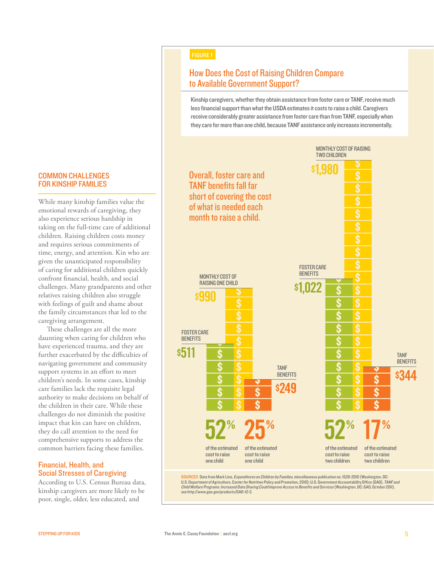# How Does the Cost of Raising Children Compare to Available Government Support?

Kinship caregivers, whether they obtain assistance from foster care or TANF, receive much less financial support than what the USDA estimates it costs to raise a child. Caregivers receive considerably greater assistance from foster care than from TANF, especially when they care for more than one child, because TANF assistance only increases incrementally.



#### SOURCES Data from Mark Lino, Expenditures on Children by Families, miscellaneous publication no. 1528-2010 (Washington, DC: U.S. Department of Agriculture, Center for Nutrition Policy and Promotion, 2010); U.S. Government Accountability Office (GAO), TANF and Child Welfare Programs: Increased Data Sharing Could Improve Access to Benefits and Services (Washington, DC: GAO, October 2011),<br>see http://www.gao.gov/products/GAO-12-2.

#### COMMON CHALLENGES FOR KINSHIP FAMILIES

While many kinship families value the emotional rewards of caregiving, they also experience serious hardship in taking on the full-time care of additional children. Raising children costs money and requires serious commitments of time, energy, and attention. Kin who are given the unanticipated responsibility of caring for additional children quickly confront financial, health, and social challenges. Many grandparents and other relatives raising children also struggle with feelings of guilt and shame about the family circumstances that led to the caregiving arrangement.

These challenges are all the more daunting when caring for children who have experienced trauma, and they are further exacerbated by the difficulties of navigating government and community support systems in an effort to meet children's needs. In some cases, kinship care families lack the requisite legal authority to make decisions on behalf of the children in their care. While these challenges do not diminish the positive impact that kin can have on children, they do call attention to the need for comprehensive supports to address the common barriers facing these families.

#### Financial, Health, and Social Stresses of Caregiving

According to U.S. Census Bureau data, kinship caregivers are more likely to be poor, single, older, less educated, and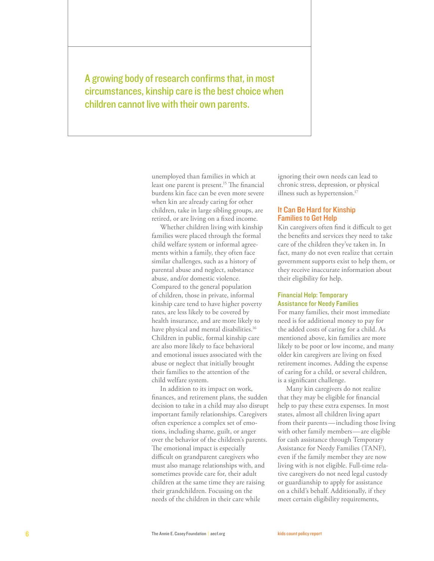A growing body of research confirms that, in most circumstances, kinship care is the best choice when children cannot live with their own parents.

> unemployed than families in which at least one parent is present.<sup>15</sup> The financial burdens kin face can be even more severe when kin are already caring for other children, take in large sibling groups, are retired, or are living on a fixed income.

> Whether children living with kinship families were placed through the formal child welfare system or informal agreements within a family, they often face similar challenges, such as a history of parental abuse and neglect, substance abuse, and/or domestic violence. Compared to the general population of children, those in private, informal kinship care tend to have higher poverty rates, are less likely to be covered by health insurance, and are more likely to have physical and mental disabilities.<sup>16</sup> Children in public, formal kinship care are also more likely to face behavioral and emotional issues associated with the abuse or neglect that initially brought their families to the attention of the child welfare system.

In addition to its impact on work, finances, and retirement plans, the sudden decision to take in a child may also disrupt important family relationships. Caregivers often experience a complex set of emotions, including shame, guilt, or anger over the behavior of the children's parents. The emotional impact is especially difficult on grandparent caregivers who must also manage relationships with, and sometimes provide care for, their adult children at the same time they are raising their grandchildren. Focusing on the needs of the children in their care while

ignoring their own needs can lead to chronic stress, depression, or physical illness such as hypertension.<sup>17</sup>

#### It Can Be Hard for Kinship Families to Get Help

Kin caregivers often find it difficult to get the benefits and services they need to take care of the children they've taken in. In fact, many do not even realize that certain government supports exist to help them, or they receive inaccurate information about their eligibility for help.

#### Financial Help: Temporary Assistance for Needy Families

For many families, their most immediate need is for additional money to pay for the added costs of caring for a child. As mentioned above, kin families are more likely to be poor or low income, and many older kin caregivers are living on fixed retirement incomes. Adding the expense of caring for a child, or several children, is a significant challenge.

Many kin caregivers do not realize that they may be eligible for financial help to pay these extra expenses. In most states, almost all children living apart from their parents—including those living with other family members—are eligible for cash assistance through Temporary Assistance for Needy Families (TANF), even if the family member they are now living with is not eligible. Full-time relative caregivers do not need legal custody or guardianship to apply for assistance on a child's behalf. Additionally, if they meet certain eligibility requirements,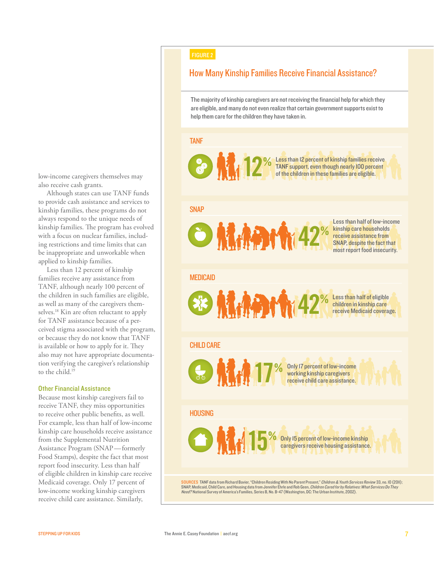### figure 2 figure **<sup>2</sup>**

# How Many Kinship Families Receive Financial Assistance?

The majority of kinship caregivers are not receiving the financial help for which they are eligible, and many do not even realize that certain government supports exist to help them care for the children they have taken in.

#### TANF



Less than 12 percent of kinship families receive TANF support, even though nearly 100 percent of the children in these families are eligible.

#### **SNAP**



Less than half of low-income kinship care households receive assistance from SNAP, despite the fact that most report food insecurity.

#### **MEDICAID**



Less than half of eligible children in kinship care receive Medicaid coverage.

### CHILD CARE



Only 17 percent of low-income working kinship caregivers receive child care assistance.

#### **HOUSING**



Only 15 percent of low-income kinship caregivers receive housing assistance.

SOURCES TANF data from Richard Bavier, "Children Residing With No Parent Present," Children & Youth Services Review 33, no. 10 (2011); SNAP, Medicaid, Child Care, and Housing data from Jennifer Ehrle and Rob Geen, *Children Cared for by Relatives: What Services Do They*<br>*Need?* National Survey of America's Families, Series B, No. B-47 (Washington, DC: The

low-income caregivers themselves may also receive cash grants.

Although states can use TANF funds to provide cash assistance and services to kinship families, these programs do not always respond to the unique needs of kinship families. The program has evolved with a focus on nuclear families, including restrictions and time limits that can be inappropriate and unworkable when applied to kinship families.

Less than 12 percent of kinship families receive any assistance from TANF, although nearly 100 percent of the children in such families are eligible, as well as many of the caregivers themselves.18 Kin are often reluctant to apply for TANF assistance because of a perceived stigma associated with the program, or because they do not know that TANF is available or how to apply for it. They also may not have appropriate documentation verifying the caregiver's relationship to the child.19

#### Other Financial Assistance

Because most kinship caregivers fail to receive TANF, they miss opportunities to receive other public benefits, as well. For example, less than half of low-income kinship care households receive assistance from the Supplemental Nutrition Assistance Program (SNAP—formerly Food Stamps), despite the fact that most report food insecurity. Less than half of eligible children in kinship care receive Medicaid coverage. Only 17 percent of low-income working kinship caregivers receive child care assistance. Similarly,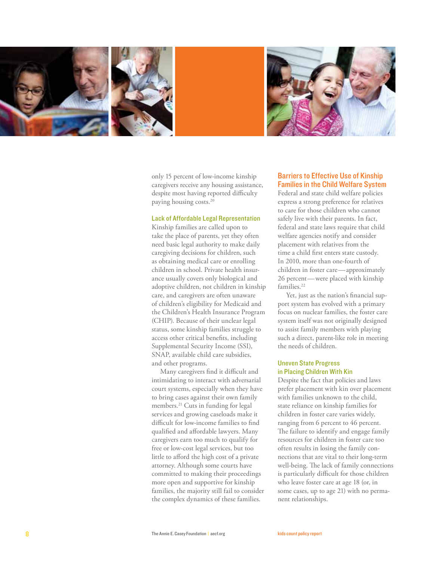



only 15 percent of low-income kinship caregivers receive any housing assistance, despite most having reported difficulty paying housing costs.20

#### Lack of Affordable Legal Representation

Kinship families are called upon to take the place of parents, yet they often need basic legal authority to make daily caregiving decisions for children, such as obtaining medical care or enrolling children in school. Private health insurance usually covers only biological and adoptive children, not children in kinship care, and caregivers are often unaware of children's eligibility for Medicaid and the Children's Health Insurance Program (CHIP). Because of their unclear legal status, some kinship families struggle to access other critical benefits, including Supplemental Security Income (SSI), SNAP, available child care subsidies, and other programs.

Many caregivers find it difficult and intimidating to interact with adversarial court systems, especially when they have to bring cases against their own family members.<sup>21</sup> Cuts in funding for legal services and growing caseloads make it difficult for low-income families to find qualified and affordable lawyers. Many caregivers earn too much to qualify for free or low-cost legal services, but too little to afford the high cost of a private attorney. Although some courts have committed to making their proceedings more open and supportive for kinship families, the majority still fail to consider the complex dynamics of these families.

#### Barriers to Effective Use of Kinship Families in the Child Welfare System

Federal and state child welfare policies express a strong preference for relatives to care for those children who cannot safely live with their parents. In fact, federal and state laws require that child welfare agencies notify and consider placement with relatives from the time a child first enters state custody. In 2010, more than one-fourth of children in foster care —approximately 26 percent —were placed with kinship families.<sup>22</sup>

Yet, just as the nation's financial sup port system has evolved with a primary focus on nuclear families, the foster care system itself was not originally designed to assist family members with playing such a direct, parent-like role in meeting the needs of children.

#### Uneven State Progress in Placing Children With Kin

Despite the fact that policies and laws prefer placement with kin over placement with families unknown to the child, state reliance on kinship families for children in foster care varies widely, ranging from 6 percent to 46 percent. The failure to identify and engage family resources for children in foster care too often results in losing the family con nections that are vital to their long-term well-being. The lack of family connections is particularly difficult for those children who leave foster care at age 18 (or, in some cases, up to age 21) with no perma nent relationships.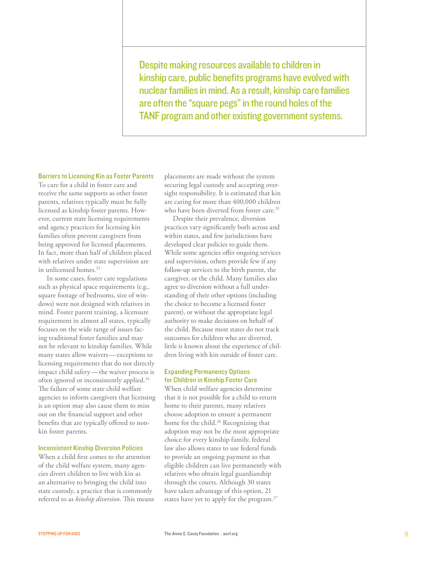Despite making resources available to children in kinship care, public benefits programs have evolved with nuclear families in mind. As a result, kinship care families are often the "square pegs" in the round holes of the TANF program and other existing government systems.

#### Barriers to Licensing Kin as Foster Parents

To care for a child in foster care and receive the same supports as other foster parents, relatives typically must be fully licensed as kinship foster parents. However, current state licensing requirements and agency practices for licensing kin families often prevent caregivers from being approved for licensed placements. In fact, more than half of children placed with relatives under state supervision are in unlicensed homes.<sup>23</sup>

In some cases, foster care regulations such as physical space requirements (e.g., square footage of bedrooms, size of windows) were not designed with relatives in mind. Foster parent training, a licensure requirement in almost all states, typically focuses on the wide range of issues facing traditional foster families and may not be relevant to kinship families. While many states allow waivers—exceptions to licensing requirements that do not directly impact child safety—the waiver process is often ignored or inconsistently applied.<sup>24</sup> The failure of some state child welfare agencies to inform caregivers that licensing is an option may also cause them to miss out on the financial support and other benefits that are typically offered to nonkin foster parents.

#### Inconsistent Kinship Diversion Policies

When a child first comes to the attention of the child welfare system, many agencies divert children to live with kin as an alternative to bringing the child into state custody, a practice that is commonly referred to as *kinship diversion*. This means placements are made without the system securing legal custody and accepting oversight responsibility. It is estimated that kin are caring for more than 400,000 children who have been diverted from foster care.<sup>25</sup>

Despite their prevalence, diversion practices vary significantly both across and within states, and few jurisdictions have developed clear policies to guide them. While some agencies offer ongoing services and supervision, others provide few if any follow-up services to the birth parent, the caregiver, or the child. Many families also agree to diversion without a full understanding of their other options (including the choice to become a licensed foster parent), or without the appropriate legal authority to make decisions on behalf of the child. Because most states do not track outcomes for children who are diverted, little is known about the experience of children living with kin outside of foster care.

#### Expanding Permanency Options for Children in Kinship Foster Care

When child welfare agencies determine that it is not possible for a child to return home to their parents, many relatives choose adoption to ensure a permanent home for the child.<sup>26</sup> Recognizing that adoption may not be the most appropriate choice for every kinship family, federal law also allows states to use federal funds to provide an ongoing payment so that eligible children can live permanently with relatives who obtain legal guardianship through the courts. Although 30 states have taken advantage of this option, 21 states have yet to apply for the program.<sup>27</sup>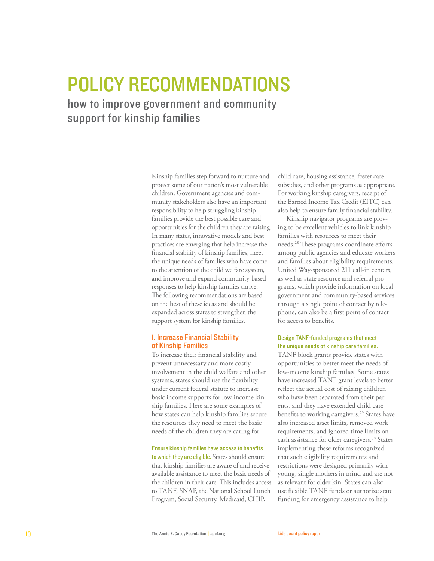# Policy recommendations

how to improve government and community support for kinship families

> Kinship families step forward to nurture and protect some of our nation's most vulnerable children. Government agencies and community stakeholders also have an important responsibility to help struggling kinship families provide the best possible care and opportunities for the children they are raising. In many states, innovative models and best practices are emerging that help increase the financial stability of kinship families, meet the unique needs of families who have come to the attention of the child welfare system, and improve and expand community-based responses to help kinship families thrive. The following recommendations are based on the best of these ideas and should be expanded across states to strengthen the support system for kinship families.

#### 1. Increase Financial Stability of Kinship Families

To increase their financial stability and prevent unnecessary and more costly involvement in the child welfare and other systems, states should use the flexibility under current federal statute to increase basic income supports for low-income kinship families. Here are some examples of how states can help kinship families secure the resources they need to meet the basic needs of the children they are caring for:

Ensure kinship families have access to benefits to which they are eligible. States should ensure that kinship families are aware of and receive available assistance to meet the basic needs of the children in their care. This includes access to TANF, SNAP, the National School Lunch Program, Social Security, Medicaid, CHIP,

child care, housing assistance, foster care subsidies, and other programs as appropriate. For working kinship caregivers, receipt of the Earned Income Tax Credit (EITC) can also help to ensure family financial stability.

Kinship navigator programs are proving to be excellent vehicles to link kinship families with resources to meet their needs.28 These programs coordinate efforts among public agencies and educate workers and families about eligibility requirements. United Way-sponsored 211 call-in centers, as well as state resource and referral programs, which provide information on local government and community-based services through a single point of contact by telephone, can also be a first point of contact for access to benefits.

#### Design TANF-funded programs that meet the unique needs of kinship care families.

TANF block grants provide states with opportunities to better meet the needs of low-income kinship families. Some states have increased TANF grant levels to better reflect the actual cost of raising children who have been separated from their parents, and they have extended child care benefits to working caregivers.<sup>29</sup> States have also increased asset limits, removed work requirements, and ignored time limits on cash assistance for older caregivers.<sup>30</sup> States implementing these reforms recognized that such eligibility requirements and restrictions were designed primarily with young, single mothers in mind and are not as relevant for older kin. States can also use flexible TANF funds or authorize state funding for emergency assistance to help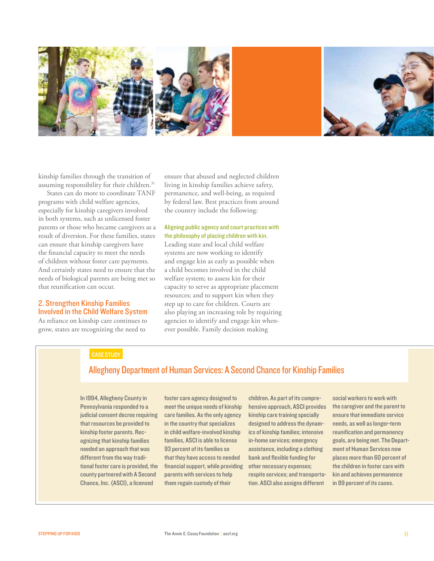

kinship families through the transition of assuming responsibility for their children.<sup>31</sup>

States can do more to coordinate TANF programs with child welfare agencies, especially for kinship caregivers involved in both systems, such as unlicensed foster parents or those who became caregivers as a result of diversion. For these families, states can ensure that kinship caregivers have the financial capacity to meet the needs of children without foster care payments. And certainly states need to ensure that the needs of biological parents are being met so that reunification can occur.

#### 2. Strengthen Kinship Families Involved in the Child Welfare System

As reliance on kinship care continues to grow, states are recognizing the need to

ensure that abused and neglected children living in kinship families achieve safety, permanence, and well-being, as required by federal law. Best practices from around the country include the following:

#### Aligning public agency and court practices with the philosophy of placing children with kin.

Leading state and local child welfare systems are now working to identify and engage kin as early as possible when a child becomes involved in the child welfare system; to assess kin for their capacity to serve as appropriate placement resources; and to support kin when they step up to care for children. Courts are also playing an increasing role by requiring agencies to identify and engage kin whenever possible. Family decision making

#### **CASE STUDY**

# Allegheny Department of Human Services: A Second Chance for Kinship Families

In 1994, Allegheny County in Pennsylvania responded to a judicial consent decree requiring that resources be provided to kinship foster parents. Recognizing that kinship families needed an approach that was different from the way traditional foster care is provided, the county partnered with A Second Chance, Inc. (ASCI), a licensed

foster care agency designed to meet the unique needs of kinship care families. As the only agency in the country that specializes in child welfare-involved kinship families, ASCI is able to license 93 percent of its families so that they have access to needed financial support, while providing parents with services to help them regain custody of their

children. As part of its comprehensive approach, ASCI provides kinship care training specially designed to address the dynamics of kinship families; intensive in-home services; emergency assistance, including a clothing bank and flexible funding for other necessary expenses; respite services; and transportation. ASCI also assigns different

social workers to work with the caregiver and the parent to ensure that immediate service needs, as well as longer-term reunification and permanency goals, are being met. The Department of Human Services now places more than 60 percent of the children in foster care with kin and achieves permanence in 89 percent of its cases.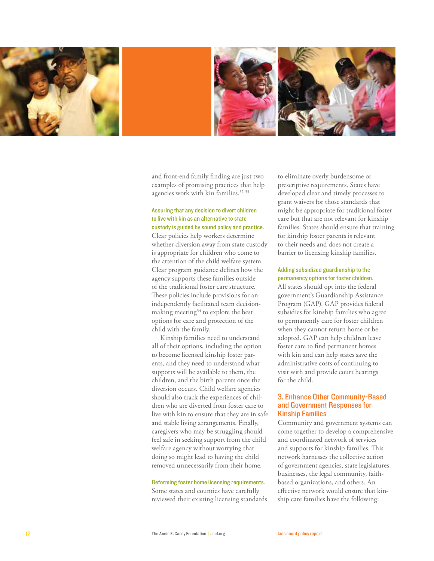



and front-end family finding are just two examples of promising practices that help agencies work with kin families.<sup>32,33</sup>

### Assuring that any decision to divert children to live with kin as an alternative to state custody is guided by sound policy and practice.

Clear policies help workers determine whether diversion away from state custody is appropriate for children who come to the attention of the child welfare system. Clear program guidance defines how the agency supports these families outside of the traditional foster care structure. These policies include provisions for an independently facilitated team decisionmaking meeting<sup>34</sup> to explore the best options for care and protection of the child with the family.

Kinship families need to understand all of their options, including the option to become licensed kinship foster parents, and they need to understand what supports will be available to them, the children, and the birth parents once the diversion occurs. Child welfare agencies should also track the experiences of chil dren who are diverted from foster care to live with kin to ensure that they are in safe and stable living arrangements. Finally, caregivers who may be struggling should feel safe in seeking support from the child welfare agency without worrying that doing so might lead to having the child removed unnecessarily from their home.

#### Reforming foster home licensing requirements.

Some states and counties have carefully reviewed their existing licensing standards to eliminate overly burdensome or prescriptive requirements. States have developed clear and timely processes to grant waivers for those standards that might be appropriate for traditional foster care but that are not relevant for kinship families. States should ensure that training for kinship foster parents is relevant to their needs and does not create a barrier to licensing kinship families.

#### Adding subsidized guardianship to the permanency options for foster children.

All states should opt into the federal government's Guardianship Assistance Program (GAP). GAP provides federal subsidies for kinship families who agree to permanently care for foster children when they cannot return home or be adopted. GAP can help children leave foster care to find permanent homes with kin and can help states save the administrative costs of continuing to visit with and provide court hearings for the child.

#### 3. Enhance Other Community-Based and Government Responses for Kinship Families

Community and government systems can come together to develop a comprehensive and coordinated network of services and supports for kinship families. This network harnesses the collective action of government agencies, state legislatures, businesses, the legal community, faithbased organizations, and others. An effective network would ensure that kin ship care families have the following: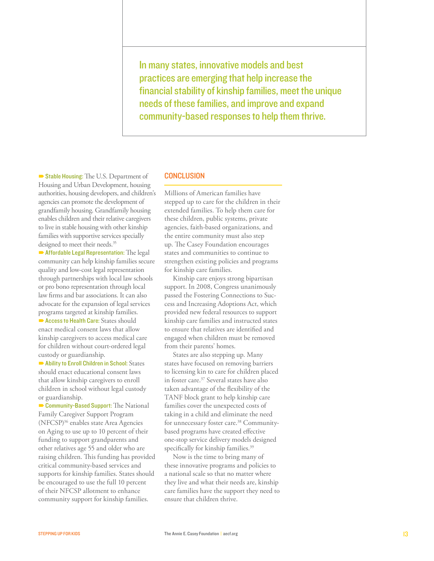In many states, innovative models and best practices are emerging that help increase the financial stability of kinship families, meet the unique needs of these families, and improve and expand community-based responses to help them thrive.

Stable Housing: The U.S. Department of Housing and Urban Development, housing authorities, housing developers, and children's agencies can promote the development of grandfamily housing. Grandfamily housing enables children and their relative caregivers to live in stable housing with other kinship families with supportive services specially designed to meet their needs.<sup>35</sup>

Affordable Legal Representation: The legal community can help kinship families secure quality and low-cost legal representation through partnerships with local law schools or pro bono representation through local law firms and bar associations. It can also advocate for the expansion of legal services programs targeted at kinship families. ■ Access to Health Care: States should enact medical consent laws that allow kinship caregivers to access medical care

for children without court-ordered legal custody or guardianship. Ability to Enroll Children in School: States should enact educational consent laws

that allow kinship caregivers to enroll children in school without legal custody or guardianship.

■ Community-Based Support: The National Family Caregiver Support Program (NFCSP)36 enables state Area Agencies on Aging to use up to 10 percent of their funding to support grandparents and other relatives age 55 and older who are raising children. This funding has provided critical community-based services and supports for kinship families. States should be encouraged to use the full 10 percent of their NFCSP allotment to enhance community support for kinship families.

#### **CONCLUSION**

Millions of American families have stepped up to care for the children in their extended families. To help them care for these children, public systems, private agencies, faith-based organizations, and the entire community must also step up. The Casey Foundation encourages states and communities to continue to strengthen existing policies and programs for kinship care families.

Kinship care enjoys strong bipartisan support. In 2008, Congress unanimously passed the Fostering Connections to Success and Increasing Adoptions Act, which provided new federal resources to support kinship care families and instructed states to ensure that relatives are identified and engaged when children must be removed from their parents' homes.

States are also stepping up. Many states have focused on removing barriers to licensing kin to care for children placed in foster care.37 Several states have also taken advantage of the flexibility of the TANF block grant to help kinship care families cover the unexpected costs of taking in a child and eliminate the need for unnecessary foster care.<sup>38</sup> Communitybased programs have created effective one-stop service delivery models designed specifically for kinship families.<sup>39</sup>

Now is the time to bring many of these innovative programs and policies to a national scale so that no matter where they live and what their needs are, kinship care families have the support they need to ensure that children thrive.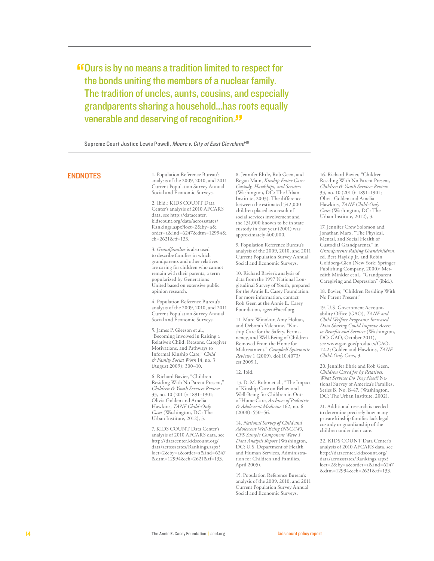Ours is by no means a tradition limited to respect for the bonds uniting the members of a nuclear family. The tradition of uncles, aunts, cousins, and especially grandparents sharing a household…has roots equally venerable and deserving of recognition.

Supreme Court Justice Lewis Powell, Moore v. City of East Cleveland<sup>40</sup>

#### **ENDNOTES**

1. Population Reference Bureau's analysis of the 2009, 2010, and 2011 Current Population Survey Annual Social and Economic Surveys.

2. Ibid.; KIDS COUNT Data Center's analysis of 2010 AFCARS data, see http://datacenter. kidscount.org/data/acrossstates/ Rankings.aspx?loct=2&by=a& order=a&ind=6247&dtm=12994& ch=2621&tf=133.

3. *Grandfamilies* is also used to describe families in which grandparents and other relatives are caring for children who cannot remain with their parents, a term popularized by Generations United based on extensive public opinion research.

4. Population Reference Bureau's analysis of the 2009, 2010, and 2011 Current Population Survey Annual Social and Economic Surveys.

5. James P. Gleeson et al., "Becoming Involved in Raising a Relative's Child: Reasons, Caregiver Motivations, and Pathways to Informal Kinship Care," *Child & Family Social Work* 14, no. 3 (August 2009): 300–10.

6. Richard Bavier, "Children Residing With No Parent Present," *Children & Youth Services Review* 33, no. 10 (2011): 1891–1901; Olivia Golden and Amelia Hawkins, *TANF Child-Only Cases* (Washington, DC: The Urban Institute, 2012), 3.

7. KIDS COUNT Data Center's analysis of 2010 AFCARS data, see http://datacenter.kidscount.org/ data/acrossstates/Rankings.aspx? loct=2&by=a&order=a&ind=6247 &dtm=12994&ch=2621&tf=133.

8. Jennifer Ehrle, Rob Geen, and Regan Main, *Kinship Foster Care: Custody, Hardships, and Services* (Washington, DC: The Urban Institute, 2003). The difference between the estimated 542,000 children placed as a result of social services involvement and the 131,000 known to be in state custody in that year (2001) was approximately 400,000.

9. Population Reference Bureau's analysis of the 2009, 2010, and 2011 Current Population Survey Annual Social and Economic Surveys.

10. Richard Bavier's analysis of data from the 1997 National Longitudinal Survey of Youth, prepared for the Annie E. Casey Foundation. For more information, contact Rob Geen at the Annie E. Casey Foundation, rgeen@aecf.org.

11. Marc Winokur, Amy Holtan, and Deborah Valentine, "Kinship Care for the Safety, Permanency, and Well-Being of Children Removed From the Home for Maltreatment," *Campbell Systematic Reviews* 1 (2009), doi:10.4073/ csr.2009.1.

12. Ibid.

13. D. M. Rubin et al., "The Impact of Kinship Care on Behavioral Well-Being for Children in Outof-Home Care, *Archives of Pediatric & Adolescent Medicine* 162, no. 6 (2008): 550–56.

14. *National Survey of Child and Adolescent Well-Being (NSCAW), CPS Sample Component Wave 1 Data Analysis Report* (Washington, DC: U.S. Department of Health and Human Services, Administration for Children and Families, April 2005).

15. Population Reference Bureau's analysis of the 2009, 2010, and 2011 Current Population Survey Annual Social and Economic Surveys.

16. Richard Bavier, "Children Residing With No Parent Present, *Children & Youth Services Review* 33, no. 10 (2011): 1891–1901; Olivia Golden and Amelia Hawkins, *TANF Child-Only Cases* (Washington, DC: The Urban Institute, 2012), 3.

17. Jennifer Crew Solomon and Jonathan Marx, "The Physical, Mental, and Social Health of Custodial Grandparents," in *Grandparents Raising Grandchildren*, ed. Bert Haylsip Jr. and Robin Goldberg-Glen (New York: Springer Publishing Company, 2000); Meredith Minkler et al., "Grandparent Caregiving and Depression" (ibid.).

18. Bavier, "Children Residing With No Parent Present."

19. U.S. Government Accountability Office (GAO), *TANF and Child Welfare Programs: Increased Data Sharing Could Improve Access to Benefits and Services* (Washington, DC: GAO, October 2011), see www.gao.gov/products/GAO-12-2; Golden and Hawkins, *TANF Child-Only Cases*, 3.

20. Jennifer Ehrle and Rob Geen, *Children Cared for by Relatives: What Services Do They Need?* National Survey of America's Families, Series B, No. B-47. (Washington, DC: The Urban Institute, 2002).

21. Additional research is needed to determine precisely how many private kinship families lack legal custody or guardianship of the children under their care.

22. KIDS COUNT Data Center's analysis of 2010 AFCARS data, see http://datacenter.kidscount.org/ data/acrossstates/Rankings.aspx? loct=2&by=a&order=a&ind=6247 &dtm=12994&ch=2621&tf=133.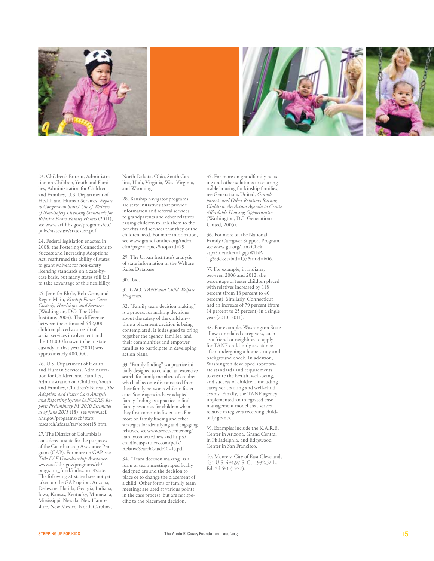



23. Children's Bureau, Administra tion on Children,Youth and Fami lies, Administration for Children and Families, U.S. Department of Health and Human Services, *Report to Congress on States' Use of Waivers of Non-Safety Licensing Standards for Relative Foster Family Homes* (2011), see www.acf.hhs.gov/programs/cb/ pubs/statesuse/statesuse.pdf.

24. Federal legislation enacted in 2008, the Fostering Connections to Success and Increasing Adoptions Act, reaffirmed the ability of states to grant waivers for non-safety licensing standards on a case-bycase basis, but many states still fail to take advantage of this flexibility.

25. Jennifer Ehrle, Rob Geen, and Regan Main, *Kinship Foster Care: Custody, Hardships, and Services*. (Washington, DC: The Urban Institute, 2003). The difference between the estimated 542,000 children placed as a result of social services involvement and the 131,000 known to be in state custody in that year (2001) was approximately 400,000.

26. U.S. Department of Health and Human Services, Administra tion for Children and Families, Administration on Children,Youth and Families, Children's Bureau,*The Adoption and Foster Care Analysis and Reporting System (AFCARS) Re port: Preliminary FY 2010 Estimates as of June 2011* (18), see www.acf. hhs.gov/programs/cb/stats\_ research/afcars/tar/report18.htm.

27. The District of Columbia is considered a state for the purposes of the Guardianship Assistance Pro gram (GAP). For more on GAP, see *Title IV-E Guardianship Assistance*, www.acf.hhs.gov/programs/cb/ programs\_fund/index.htm#state. The following 21 states have not yet taken up the GAP option: Arizona, Delaware, Florida, Georgia, Indiana, Iowa, Kansas, Kentucky, Minnesota, Mississippi, Nevada, New Hamp shire, New Mexico, North Carolina,

North Dakota, Ohio, South Caro lina, Utah, Virginia, West Virginia, and Wyoming.

28. Kinship navigator programs are state initiatives that provide information and referral services to grandparents and other relatives raising children to link them to the benefits and services that they or the children need. For more information, see www.grandfamilies.org/index. cfm?page=topics&topicid=29.

29. The Urban Institute's analysis of state information in the Welfare Rules Database.

#### 31. GAO, *TANF and Child Welfare Programs* .

30. Ibid.

32. "Family team decision making" is a process for making decisions about the safety of the child anytime a placement decision is being contemplated. It is designed to bring together the agency, families, and their communities and empower families to participate in developing action plans.

33. "Family finding" is a practice ini tially designed to conduct an extensive search for family members of children who had become disconnected from their family networks while in foster care. Some agencies have adapted family finding as a practice to find family resources for children when they first come into foster care. For more on family finding and other strategies for identifying and engaging relatives, see www.senecacenter.org/ familyconnectedness and http:// childfocuspartners.com/pdfs/ RelativeSearchGuide10–15.pdf.

34. "Team decision making" is a form of team meetings specifically designed around the decision to place or to change the placement of a child. Other forms of family team meetings are used at various points in the case process, but are not spe cific to the placement decision.

35. For more on grandfamily hous ing and other solutions to securing stable housing for kinship families, see Generations United, *Grandparents and Other Relatives Raising Children: An Action Agenda to Create Affordable Housing Opportunities* (Washington, DC: Generations United, 2005).

36. For more on the National Family Caregiver Support Program, see www.gu.org/LinkClick. aspx?fileticket=Lgq5WfhP-Tg%3d&tabid=157&mid=606.

37. For example, in Indiana, between 2006 and 2012, the percentage of foster children placed with relatives increased by 118 percent (from 18 percent to 40 percent). Similarly, Connecticut had an increase of 79 percent (from 14 percent to 25 percent) in a single year (2010–2011).

38. For example, Washington State allows unrelated caregivers, such as a friend or neighbor, to apply for TANF child-only assistance after undergoing a home study and background check. In addition, Washington developed appropri ate standards and requirements to ensure the health, well-being, and success of children, including caregiver training and well-child exams. Finally, the TANF agency implemented an integrated case management model that serves relative caregivers receiving childonly grants.

39. Examples include the K.A.R.E. Center in Arizona, Grand Central in Philadelphia, and Edgewood Center in San Francisco.

40. Moore v. City of East Cleveland, 431 U.S. 494,97 S. Ct. 1932,52 L. Ed. 2d 531 (1977).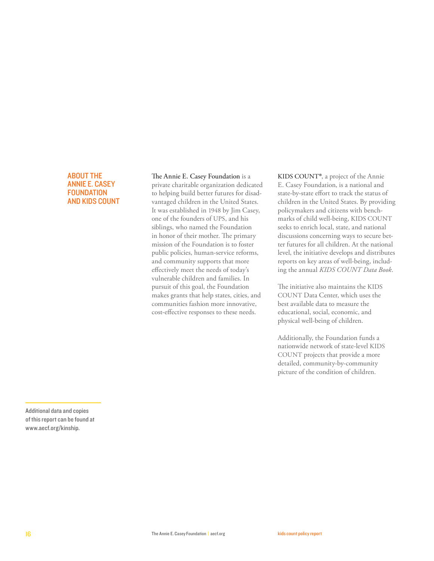#### **ABOUT THE** Annie E. Casey **FOUNDATION** and Kids Count

The Annie E. Casey Foundation is a private charitable organization dedicated to helping build better futures for disadvantaged children in the United States. It was established in 1948 by Jim Casey, one of the founders of UPS, and his siblings, who named the Foundation in honor of their mother. The primary mission of the Foundation is to foster public policies, human-service reforms, and community supports that more effectively meet the needs of today's vulnerable children and families. In pursuit of this goal, the Foundation makes grants that help states, cities, and communities fashion more innovative, cost-effective responses to these needs.

KIDS COUNT®, a project of the Annie E. Casey Foundation, is a national and state-by-state effort to track the status of children in the United States. By providing policymakers and citizens with benchmarks of child well-being, KIDS COUNT seeks to enrich local, state, and national discussions concerning ways to secure better futures for all children. At the national level, the initiative develops and distributes reports on key areas of well-being, including the annual *KIDS COUNT Data Book*.

The initiative also maintains the KIDS COUNT Data Center, which uses the best available data to measure the educational, social, economic, and physical well-being of children.

Additionally, the Foundation funds a nationwide network of state-level KIDS COUNT projects that provide a more detailed, community-by-community picture of the condition of children.

Additional data and copies of this report can be found at www.aecf.org/kinship.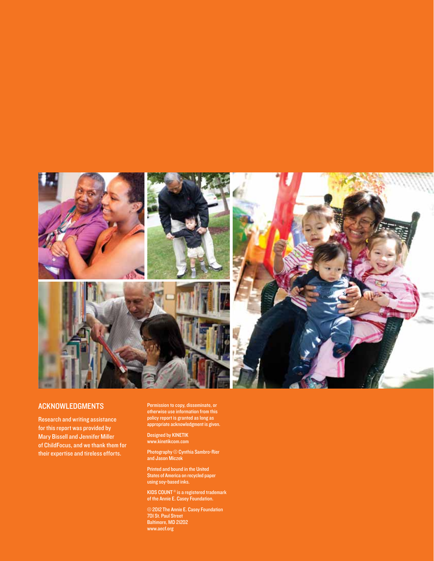

### Acknowledgments

Research and writing assistance for this report was provided by Mary Bissell and Jennifer Miller of ChildFocus, and we thank them for their expertise and tireless efforts.

Permission to copy, disseminate, or otherwise use information from this policy report is granted as long as appropriate acknowledgment is given.

Designed by KINETIK www.kinetikcom.com

Photography © Cynthia Sambro-Rier and Jason Miczek

Printed and bound in the United States of America on recycled paper using soy-based inks.

KIDS COUNT  $\circ$  is a registered trademark of the Annie E. Casey Foundation.

© 2012 The Annie E. Casey Foundation 701 St. Paul Street Baltimore, MD 21202 www.aecf.org